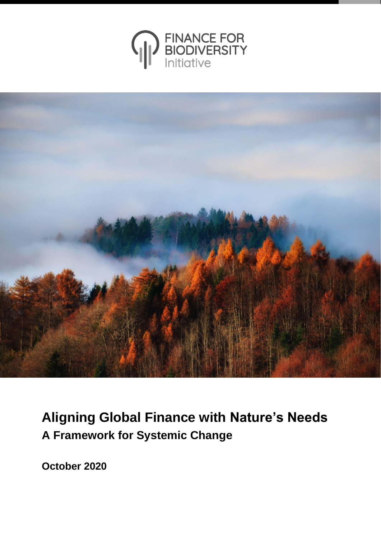



# **Aligning Global Finance with Nature's Needs A Framework for Systemic Change**

**October 2020**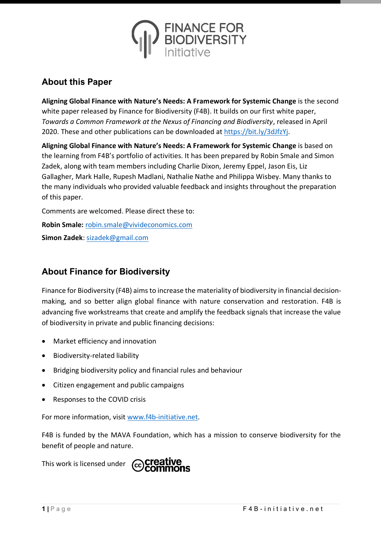

#### **About this Paper**

**Aligning Global Finance with Nature's Needs: A Framework for Systemic Change** is the second white paper released by Finance for Biodiversity (F4B). It builds on our first white paper, *Towards a Common Framework at the Nexus of Financing and Biodiversity*, released in April 2020. These and other publications can be downloaded at [https://bit.ly/3dJfzYj.](https://bit.ly/3dJfzYj)

**Aligning Global Finance with Nature's Needs: A Framework for Systemic Change** is based on the learning from F4B's portfolio of activities. It has been prepared by Robin Smale and Simon Zadek, along with team members including Charlie Dixon, Jeremy Eppel, Jason Eis, Liz Gallagher, Mark Halle, Rupesh Madlani, Nathalie Nathe and Philippa Wisbey. Many thanks to the many individuals who provided valuable feedback and insights throughout the preparation of this paper.

Comments are welcomed. Please direct these to:

**Robin Smale:** [robin.smale@vivideconomics.com](mailto:robin.smale@vivideconomics.com)

**Simon Zadek**: [sizadek@gmail.com](mailto:sizadek@gmail.com)

#### **About Finance for Biodiversity**

Finance for Biodiversity (F4B) aims to increase the materiality of biodiversity in financial decisionmaking, and so better align global finance with nature conservation and restoration. F4B is advancing five workstreams that create and amplify the feedback signals that increase the value of biodiversity in private and public financing decisions:

- Market efficiency and innovation
- Biodiversity-related liability
- Bridging biodiversity policy and financial rules and behaviour
- Citizen engagement and public campaigns
- Responses to the COVID crisis

For more information, visi[t www.f4b-initiative.net.](http://www.f4b-initiative.net/)

F4B is funded by the MAVA Foundation, which has a mission to conserve biodiversity for the benefit of people and nature.

This work is licensed under

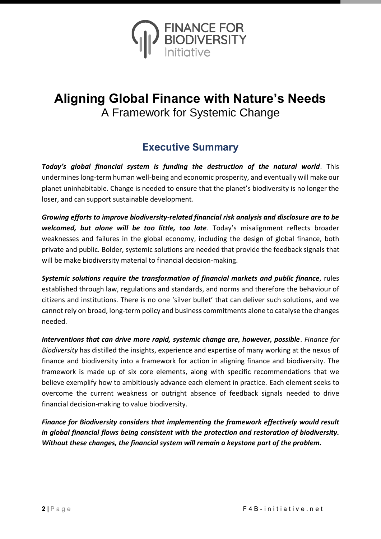

## **Aligning Global Finance with Nature's Needs** A Framework for Systemic Change

## **Executive Summary**

*Today's global financial system is funding the destruction of the natural world*. This undermineslong-term human well-being and economic prosperity, and eventually will make our planet uninhabitable. Change is needed to ensure that the planet's biodiversity is no longer the loser, and can support sustainable development.

*Growing efforts to improve biodiversity-related financial risk analysis and disclosure are to be welcomed, but alone will be too little, too late*. Today's misalignment reflects broader weaknesses and failures in the global economy, including the design of global finance, both private and public. Bolder, systemic solutions are needed that provide the feedback signals that will be make biodiversity material to financial decision-making.

*Systemic solutions require the transformation of financial markets and public finance*, rules established through law, regulations and standards, and norms and therefore the behaviour of citizens and institutions. There is no one 'silver bullet' that can deliver such solutions, and we cannot rely on broad, long-term policy and business commitments alone to catalyse the changes needed.

*Interventions that can drive more rapid, systemic change are, however, possible*. *Finance for Biodiversity* has distilled the insights, experience and expertise of many working at the nexus of finance and biodiversity into a framework for action in aligning finance and biodiversity. The framework is made up of six core elements, along with specific recommendations that we believe exemplify how to ambitiously advance each element in practice. Each element seeks to overcome the current weakness or outright absence of feedback signals needed to drive financial decision-making to value biodiversity.

*Finance for Biodiversity considers that implementing the framework effectively would result in global financial flows being consistent with the protection and restoration of biodiversity. Without these changes, the financial system will remain a keystone part of the problem.*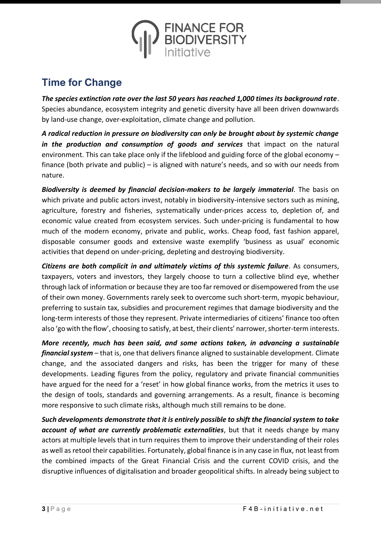

## **Time for Change**

*The species extinction rate over the last 50 years has reached 1,000 times its background rate*. Species abundance, ecosystem integrity and genetic diversity have all been driven downwards by land-use change, over-exploitation, climate change and pollution.

*A radical reduction in pressure on biodiversity can only be brought about by systemic change in the production and consumption of goods and services* that impact on the natural environment. This can take place only if the lifeblood and guiding force of the global economy – finance (both private and public) – is aligned with nature's needs, and so with our needs from nature.

*Biodiversity is deemed by financial decision-makers to be largely immaterial*. The basis on which private and public actors invest, notably in biodiversity-intensive sectors such as mining, agriculture, forestry and fisheries, systematically under-prices access to, depletion of, and economic value created from ecosystem services. Such under-pricing is fundamental to how much of the modern economy, private and public, works. Cheap food, fast fashion apparel, disposable consumer goods and extensive waste exemplify 'business as usual' economic activities that depend on under-pricing, depleting and destroying biodiversity.

*Citizens are both complicit in and ultimately victims of this systemic failure*. As consumers, taxpayers, voters and investors, they largely choose to turn a collective blind eye, whether through lack of information or because they are too far removed or disempowered from the use of their own money. Governments rarely seek to overcome such short-term, myopic behaviour, preferring to sustain tax, subsidies and procurement regimes that damage biodiversity and the long-term interests of those they represent. Private intermediaries of citizens' finance too often also 'go with the flow', choosing to satisfy, at best, their clients' narrower, shorter-term interests.

*More recently, much has been said, and some actions taken, in advancing a sustainable financial system* – that is, one that delivers finance aligned to sustainable development. Climate change, and the associated dangers and risks, has been the trigger for many of these developments. Leading figures from the policy, regulatory and private financial communities have argued for the need for a 'reset' in how global finance works, from the metrics it uses to the design of tools, standards and governing arrangements. As a result, finance is becoming more responsive to such climate risks, although much still remains to be done.

*Such developments demonstrate that it is entirely possible to shift the financial system to take account of what are currently problematic externalities*, but that it needs change by many actors at multiple levels that in turn requires them to improve their understanding of their roles as well as retool their capabilities. Fortunately, global finance is in any case in flux, not least from the combined impacts of the Great Financial Crisis and the current COVID crisis, and the disruptive influences of digitalisation and broader geopolitical shifts. In already being subject to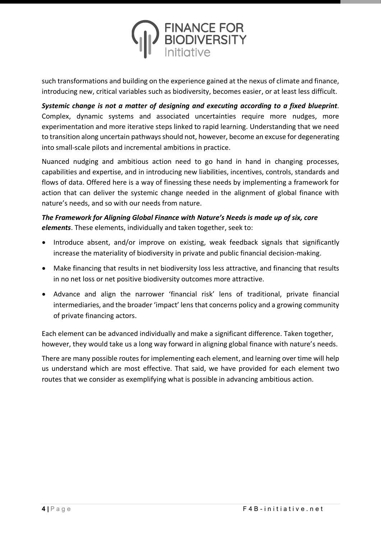

such transformations and building on the experience gained at the nexus of climate and finance, introducing new, critical variables such as biodiversity, becomes easier, or at least less difficult.

*Systemic change is not a matter of designing and executing according to a fixed blueprint*. Complex, dynamic systems and associated uncertainties require more nudges, more experimentation and more iterative steps linked to rapid learning. Understanding that we need to transition along uncertain pathways should not, however, become an excuse for degenerating into small-scale pilots and incremental ambitions in practice.

Nuanced nudging and ambitious action need to go hand in hand in changing processes, capabilities and expertise, and in introducing new liabilities, incentives, controls, standards and flows of data. Offered here is a way of finessing these needs by implementing a framework for action that can deliver the systemic change needed in the alignment of global finance with nature's needs, and so with our needs from nature.

#### *The Framework for Aligning Global Finance with Nature's Needs is made up of six, core elements*. These elements, individually and taken together, seek to:

- Introduce absent, and/or improve on existing, weak feedback signals that significantly increase the materiality of biodiversity in private and public financial decision-making.
- Make financing that results in net biodiversity loss less attractive, and financing that results in no net loss or net positive biodiversity outcomes more attractive.
- Advance and align the narrower 'financial risk' lens of traditional, private financial intermediaries, and the broader 'impact' lens that concerns policy and a growing community of private financing actors.

Each element can be advanced individually and make a significant difference. Taken together, however, they would take us a long way forward in aligning global finance with nature's needs.

There are many possible routes for implementing each element, and learning over time will help us understand which are most effective. That said, we have provided for each element two routes that we consider as exemplifying what is possible in advancing ambitious action.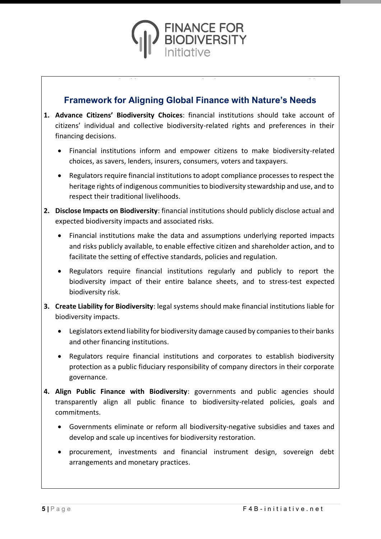

#### **Framework for Aligning Global Finance with Nature's Needs**

- **1. Advance Citizens' Biodiversity Choices**: financial institutions should take account of citizens' individual and collective biodiversity-related rights and preferences in their financing decisions.
	- Financial institutions inform and empower citizens to make biodiversity-related choices, as savers, lenders, insurers, consumers, voters and taxpayers.
	- Regulators require financial institutions to adopt compliance processes to respect the heritage rights of indigenous communities to biodiversity stewardship and use, and to respect their traditional livelihoods.
- **2. Disclose Impacts on Biodiversity**: financial institutions should publicly disclose actual and expected biodiversity impacts and associated risks.
	- Financial institutions make the data and assumptions underlying reported impacts and risks publicly available, to enable effective citizen and shareholder action, and to facilitate the setting of effective standards, policies and regulation.
	- Regulators require financial institutions regularly and publicly to report the biodiversity impact of their entire balance sheets, and to stress-test expected biodiversity risk.
- **3. Create Liability for Biodiversity**: legal systems should make financial institutions liable for biodiversity impacts.
	- Legislators extend liability for biodiversity damage caused by companies to their banks and other financing institutions.
	- Regulators require financial institutions and corporates to establish biodiversity protection as a public fiduciary responsibility of company directors in their corporate governance.
- **4. Align Public Finance with Biodiversity**: governments and public agencies should transparently align all public finance to biodiversity-related policies, goals and commitments.
	- Governments eliminate or reform all biodiversity-negative subsidies and taxes and develop and scale up incentives for biodiversity restoration.
	- procurement, investments and financial instrument design, sovereign debt arrangements and monetary practices.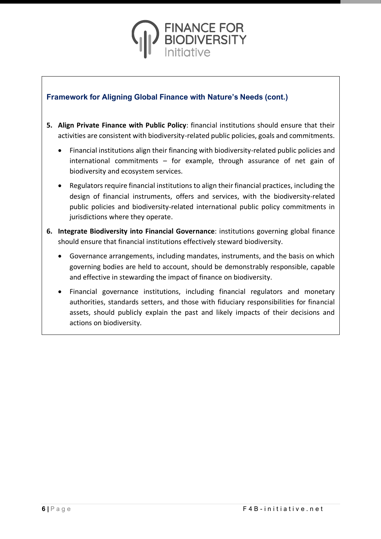

#### **Framework for Aligning Global Finance with Nature's Needs (cont.)**

- **5. Align Private Finance with Public Policy**: financial institutions should ensure that their activities are consistent with biodiversity-related public policies, goals and commitments.
	- Financial institutions align their financing with biodiversity-related public policies and international commitments – for example, through assurance of net gain of biodiversity and ecosystem services.
	- Regulators require financial institutions to align their financial practices, including the design of financial instruments, offers and services, with the biodiversity-related public policies and biodiversity-related international public policy commitments in jurisdictions where they operate.
- **6. Integrate Biodiversity into Financial Governance**: institutions governing global finance should ensure that financial institutions effectively steward biodiversity.
	- Governance arrangements, including mandates, instruments, and the basis on which governing bodies are held to account, should be demonstrably responsible, capable and effective in stewarding the impact of finance on biodiversity.
	- Financial governance institutions, including financial regulators and monetary authorities, standards setters, and those with fiduciary responsibilities for financial assets, should publicly explain the past and likely impacts of their decisions and actions on biodiversity.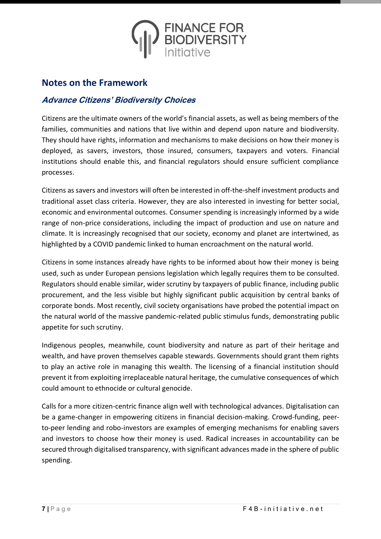

#### **Notes on the Framework**

#### **Advance Citizens' Biodiversity Choices**

Citizens are the ultimate owners of the world's financial assets, as well as being members of the families, communities and nations that live within and depend upon nature and biodiversity. They should have rights, information and mechanisms to make decisions on how their money is deployed, as savers, investors, those insured, consumers, taxpayers and voters. Financial institutions should enable this, and financial regulators should ensure sufficient compliance processes.

Citizens as savers and investors will often be interested in off-the-shelf investment products and traditional asset class criteria. However, they are also interested in investing for better social, economic and environmental outcomes. Consumer spending is increasingly informed by a wide range of non-price considerations, including the impact of production and use on nature and climate. It is increasingly recognised that our society, economy and planet are intertwined, as highlighted by a COVID pandemic linked to human encroachment on the natural world.

Citizens in some instances already have rights to be informed about how their money is being used, such as under European pensions legislation which legally requires them to be consulted. Regulators should enable similar, wider scrutiny by taxpayers of public finance, including public procurement, and the less visible but highly significant public acquisition by central banks of corporate bonds. Most recently, civil society organisations have probed the potential impact on the natural world of the massive pandemic-related public stimulus funds, demonstrating public appetite for such scrutiny.

Indigenous peoples, meanwhile, count biodiversity and nature as part of their heritage and wealth, and have proven themselves capable stewards. Governments should grant them rights to play an active role in managing this wealth. The licensing of a financial institution should prevent it from exploiting irreplaceable natural heritage, the cumulative consequences of which could amount to ethnocide or cultural genocide.

Calls for a more citizen-centric finance align well with technological advances. Digitalisation can be a game-changer in empowering citizens in financial decision-making. Crowd-funding, peerto-peer lending and robo-investors are examples of emerging mechanisms for enabling savers and investors to choose how their money is used. Radical increases in accountability can be secured through digitalised transparency, with significant advances made in the sphere of public spending.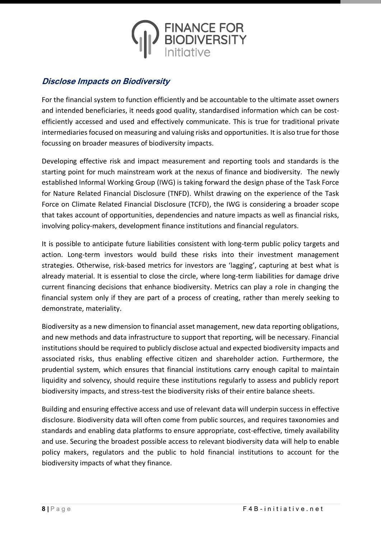

#### **Disclose Impacts on Biodiversity**

For the financial system to function efficiently and be accountable to the ultimate asset owners and intended beneficiaries, it needs good quality, standardised information which can be costefficiently accessed and used and effectively communicate. This is true for traditional private intermediaries focused on measuring and valuing risks and opportunities. It is also true for those focussing on broader measures of biodiversity impacts.

Developing effective risk and impact measurement and reporting tools and standards is the starting point for much mainstream work at the nexus of finance and biodiversity. The newly established Informal Working Group (IWG) is taking forward the design phase of the Task Force for Nature Related Financial Disclosure (TNFD). Whilst drawing on the experience of the Task Force on Climate Related Financial Disclosure (TCFD), the IWG is considering a broader scope that takes account of opportunities, dependencies and nature impacts as well as financial risks, involving policy-makers, development finance institutions and financial regulators.

It is possible to anticipate future liabilities consistent with long-term public policy targets and action. Long-term investors would build these risks into their investment management strategies. Otherwise, risk-based metrics for investors are 'lagging', capturing at best what is already material. It is essential to close the circle, where long-term liabilities for damage drive current financing decisions that enhance biodiversity. Metrics can play a role in changing the financial system only if they are part of a process of creating, rather than merely seeking to demonstrate, materiality.

Biodiversity as a new dimension to financial asset management, new data reporting obligations, and new methods and data infrastructure to support that reporting, will be necessary. Financial institutions should be required to publicly disclose actual and expected biodiversity impacts and associated risks, thus enabling effective citizen and shareholder action. Furthermore, the prudential system, which ensures that financial institutions carry enough capital to maintain liquidity and solvency, should require these institutions regularly to assess and publicly report biodiversity impacts, and stress-test the biodiversity risks of their entire balance sheets.

Building and ensuring effective access and use of relevant data will underpin success in effective disclosure. Biodiversity data will often come from public sources, and requires taxonomies and standards and enabling data platforms to ensure appropriate, cost-effective, timely availability and use. Securing the broadest possible access to relevant biodiversity data will help to enable policy makers, regulators and the public to hold financial institutions to account for the biodiversity impacts of what they finance.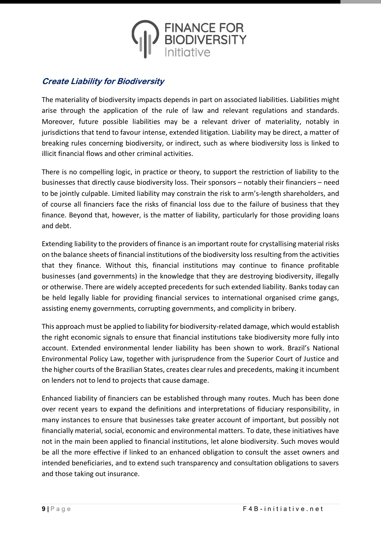

#### **Create Liability for Biodiversity**

The materiality of biodiversity impacts depends in part on associated liabilities. Liabilities might arise through the application of the rule of law and relevant regulations and standards. Moreover, future possible liabilities may be a relevant driver of materiality, notably in jurisdictions that tend to favour intense, extended litigation. Liability may be direct, a matter of breaking rules concerning biodiversity, or indirect, such as where biodiversity loss is linked to illicit financial flows and other criminal activities.

There is no compelling logic, in practice or theory, to support the restriction of liability to the businesses that directly cause biodiversity loss. Their sponsors – notably their financiers – need to be jointly culpable. Limited liability may constrain the risk to arm's-length shareholders, and of course all financiers face the risks of financial loss due to the failure of business that they finance. Beyond that, however, is the matter of liability, particularly for those providing loans and debt.

Extending liability to the providers of finance is an important route for crystallising material risks on the balance sheets of financial institutions of the biodiversity loss resulting from the activities that they finance. Without this, financial institutions may continue to finance profitable businesses (and governments) in the knowledge that they are destroying biodiversity, illegally or otherwise. There are widely accepted precedents for such extended liability. Banks today can be held legally liable for providing financial services to international organised crime gangs, assisting enemy governments, corrupting governments, and complicity in bribery.

This approach must be applied to liability for biodiversity-related damage, which would establish the right economic signals to ensure that financial institutions take biodiversity more fully into account. Extended environmental lender liability has been shown to work. Brazil's National Environmental Policy Law, together with jurisprudence from the Superior Court of Justice and the higher courts of the Brazilian States, creates clear rules and precedents, making it incumbent on lenders not to lend to projects that cause damage.

Enhanced liability of financiers can be established through many routes. Much has been done over recent years to expand the definitions and interpretations of fiduciary responsibility, in many instances to ensure that businesses take greater account of important, but possibly not financially material, social, economic and environmental matters. To date, these initiatives have not in the main been applied to financial institutions, let alone biodiversity. Such moves would be all the more effective if linked to an enhanced obligation to consult the asset owners and intended beneficiaries, and to extend such transparency and consultation obligations to savers and those taking out insurance.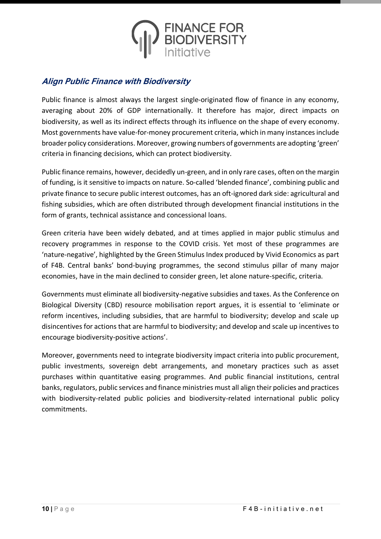

#### **Align Public Finance with Biodiversity**

Public finance is almost always the largest single-originated flow of finance in any economy, averaging about 20% of GDP internationally. It therefore has major, direct impacts on biodiversity, as well as its indirect effects through its influence on the shape of every economy. Most governments have value-for-money procurement criteria, which in many instances include broader policy considerations. Moreover, growing numbers of governments are adopting 'green' criteria in financing decisions, which can protect biodiversity.

Public finance remains, however, decidedly un-green, and in only rare cases, often on the margin of funding, is it sensitive to impacts on nature. So-called 'blended finance', combining public and private finance to secure public interest outcomes, has an oft-ignored dark side: agricultural and fishing subsidies, which are often distributed through development financial institutions in the form of grants, technical assistance and concessional loans.

Green criteria have been widely debated, and at times applied in major public stimulus and recovery programmes in response to the COVID crisis. Yet most of these programmes are 'nature-negative', highlighted by the Green Stimulus Index produced by Vivid Economics as part of F4B. Central banks' bond-buying programmes, the second stimulus pillar of many major economies, have in the main declined to consider green, let alone nature-specific, criteria.

Governments must eliminate all biodiversity-negative subsidies and taxes. As the Conference on Biological Diversity (CBD) resource mobilisation report argues, it is essential to 'eliminate or reform incentives, including subsidies, that are harmful to biodiversity; develop and scale up disincentives for actions that are harmful to biodiversity; and develop and scale up incentives to encourage biodiversity-positive actions'.

Moreover, governments need to integrate biodiversity impact criteria into public procurement, public investments, sovereign debt arrangements, and monetary practices such as asset purchases within quantitative easing programmes. And public financial institutions, central banks, regulators, public services and finance ministries must all align their policies and practices with biodiversity-related public policies and biodiversity-related international public policy commitments.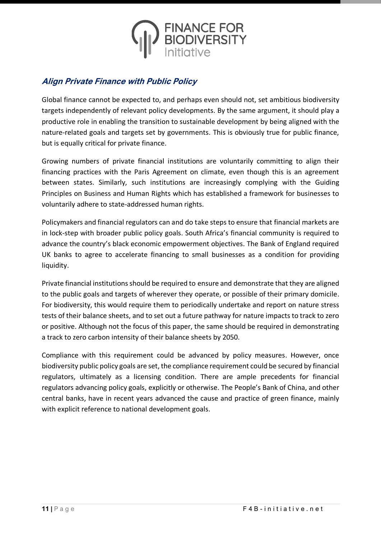

#### **Align Private Finance with Public Policy**

Global finance cannot be expected to, and perhaps even should not, set ambitious biodiversity targets independently of relevant policy developments. By the same argument, it should play a productive role in enabling the transition to sustainable development by being aligned with the nature-related goals and targets set by governments. This is obviously true for public finance, but is equally critical for private finance.

Growing numbers of private financial institutions are voluntarily committing to align their financing practices with the Paris Agreement on climate, even though this is an agreement between states. Similarly, such institutions are increasingly complying with the Guiding Principles on Business and Human Rights which has established a framework for businesses to voluntarily adhere to state-addressed human rights.

Policymakers and financial regulators can and do take steps to ensure that financial markets are in lock-step with broader public policy goals. South Africa's financial community is required to advance the country's black economic empowerment objectives. The Bank of England required UK banks to agree to accelerate financing to small businesses as a condition for providing liquidity.

Private financial institutions should be required to ensure and demonstrate that they are aligned to the public goals and targets of wherever they operate, or possible of their primary domicile. For biodiversity, this would require them to periodically undertake and report on nature stress tests of their balance sheets, and to set out a future pathway for nature impacts to track to zero or positive. Although not the focus of this paper, the same should be required in demonstrating a track to zero carbon intensity of their balance sheets by 2050.

Compliance with this requirement could be advanced by policy measures. However, once biodiversity public policy goals are set, the compliance requirement could be secured by financial regulators, ultimately as a licensing condition. There are ample precedents for financial regulators advancing policy goals, explicitly or otherwise. The People's Bank of China, and other central banks, have in recent years advanced the cause and practice of green finance, mainly with explicit reference to national development goals.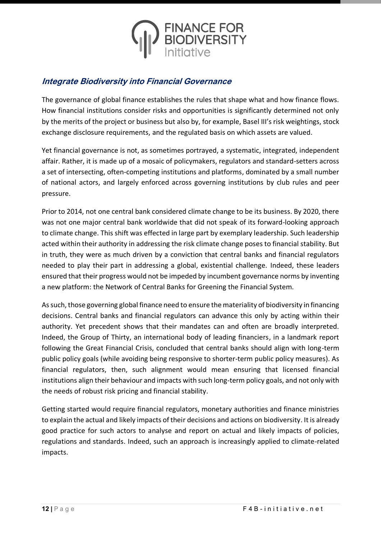

#### **Integrate Biodiversity into Financial Governance**

The governance of global finance establishes the rules that shape what and how finance flows. How financial institutions consider risks and opportunities is significantly determined not only by the merits of the project or business but also by, for example, Basel III's risk weightings, stock exchange disclosure requirements, and the regulated basis on which assets are valued.

Yet financial governance is not, as sometimes portrayed, a systematic, integrated, independent affair. Rather, it is made up of a mosaic of policymakers, regulators and standard-setters across a set of intersecting, often-competing institutions and platforms, dominated by a small number of national actors, and largely enforced across governing institutions by club rules and peer pressure.

Prior to 2014, not one central bank considered climate change to be its business. By 2020, there was not one major central bank worldwide that did not speak of its forward-looking approach to climate change. This shift was effected in large part by exemplary leadership. Such leadership acted within their authority in addressing the risk climate change poses to financial stability. But in truth, they were as much driven by a conviction that central banks and financial regulators needed to play their part in addressing a global, existential challenge. Indeed, these leaders ensured that their progress would not be impeded by incumbent governance norms by inventing a new platform: the Network of Central Banks for Greening the Financial System.

As such, those governing global finance need to ensure the materiality of biodiversity in financing decisions. Central banks and financial regulators can advance this only by acting within their authority. Yet precedent shows that their mandates can and often are broadly interpreted. Indeed, the Group of Thirty, an international body of leading financiers, in a landmark report following the Great Financial Crisis, concluded that central banks should align with long-term public policy goals (while avoiding being responsive to shorter-term public policy measures). As financial regulators, then, such alignment would mean ensuring that licensed financial institutions align their behaviour and impacts with such long-term policy goals, and not only with the needs of robust risk pricing and financial stability.

Getting started would require financial regulators, monetary authorities and finance ministries to explain the actual and likely impacts of their decisions and actions on biodiversity. It is already good practice for such actors to analyse and report on actual and likely impacts of policies, regulations and standards. Indeed, such an approach is increasingly applied to climate-related impacts.